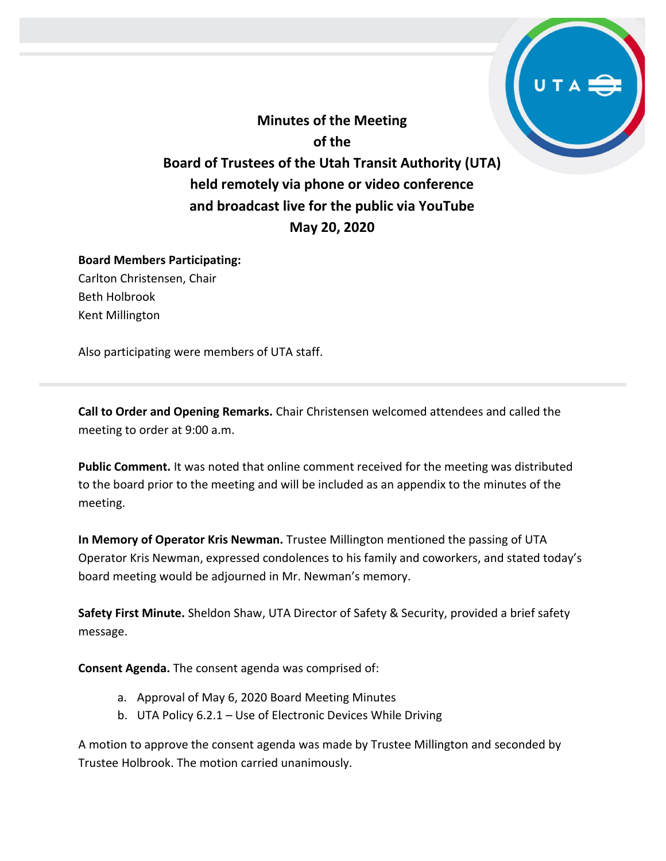**Minutes of the Meeting of the Board of Trustees of the Utah Transit Authority (UTA) held remotely via phone or video conference and broadcast live for the public via YouTube May 20, 2020**

## **Board Members Participating:** Carlton Christensen, Chair

Beth Holbrook Kent Millington

Also participating were members of UTA staff.

**Call to Order and Opening Remarks.** Chair Christensen welcomed attendees and called the meeting to order at 9:00 a.m.

**Public Comment.** It was noted that online comment received for the meeting was distributed to the board prior to the meeting and will be included as an appendix to the minutes of the meeting.

**In Memory of Operator Kris Newman.** Trustee Millington mentioned the passing of UTA Operator Kris Newman, expressed condolences to his family and coworkers, and stated today's board meeting would be adjourned in Mr. Newman's memory.

**Safety First Minute.** Sheldon Shaw, UTA Director of Safety & Security, provided a brief safety message.

**Consent Agenda.** The consent agenda was comprised of:

- a. Approval of May 6, 2020 Board Meeting Minutes
- b. UTA Policy 6.2.1 Use of Electronic Devices While Driving

A motion to approve the consent agenda was made by Trustee Millington and seconded by Trustee Holbrook. The motion carried unanimously.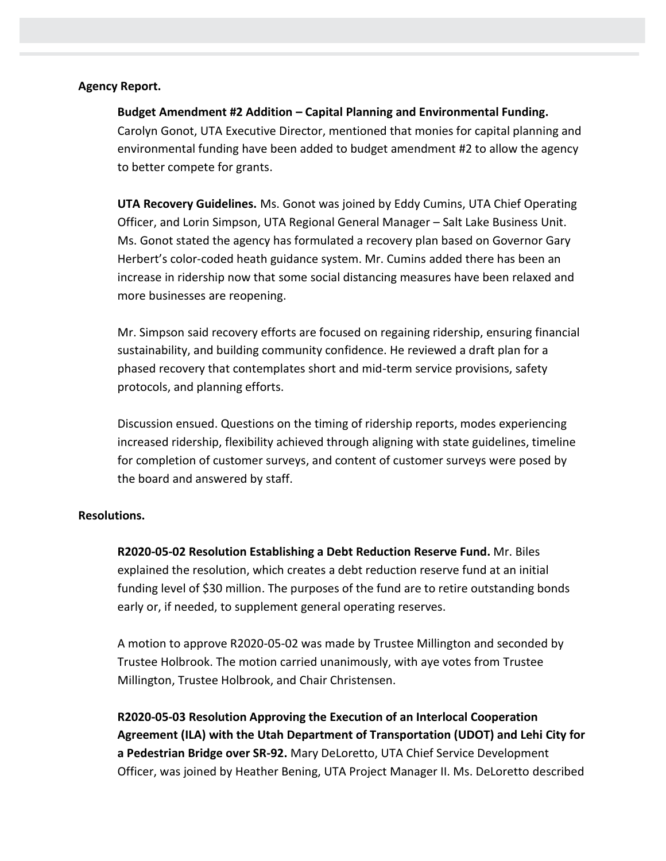#### **Agency Report.**

### **Budget Amendment #2 Addition – Capital Planning and Environmental Funding.**

Carolyn Gonot, UTA Executive Director, mentioned that monies for capital planning and environmental funding have been added to budget amendment #2 to allow the agency to better compete for grants.

**UTA Recovery Guidelines.** Ms. Gonot was joined by Eddy Cumins, UTA Chief Operating Officer, and Lorin Simpson, UTA Regional General Manager – Salt Lake Business Unit. Ms. Gonot stated the agency has formulated a recovery plan based on Governor Gary Herbert's color-coded heath guidance system. Mr. Cumins added there has been an increase in ridership now that some social distancing measures have been relaxed and more businesses are reopening.

Mr. Simpson said recovery efforts are focused on regaining ridership, ensuring financial sustainability, and building community confidence. He reviewed a draft plan for a phased recovery that contemplates short and mid-term service provisions, safety protocols, and planning efforts.

Discussion ensued. Questions on the timing of ridership reports, modes experiencing increased ridership, flexibility achieved through aligning with state guidelines, timeline for completion of customer surveys, and content of customer surveys were posed by the board and answered by staff.

#### **Resolutions.**

**R2020-05-02 Resolution Establishing a Debt Reduction Reserve Fund.** Mr. Biles explained the resolution, which creates a debt reduction reserve fund at an initial funding level of \$30 million. The purposes of the fund are to retire outstanding bonds early or, if needed, to supplement general operating reserves.

A motion to approve R2020-05-02 was made by Trustee Millington and seconded by Trustee Holbrook. The motion carried unanimously, with aye votes from Trustee Millington, Trustee Holbrook, and Chair Christensen.

**R2020-05-03 Resolution Approving the Execution of an Interlocal Cooperation Agreement (ILA) with the Utah Department of Transportation (UDOT) and Lehi City for a Pedestrian Bridge over SR-92.** Mary DeLoretto, UTA Chief Service Development Officer, was joined by Heather Bening, UTA Project Manager II. Ms. DeLoretto described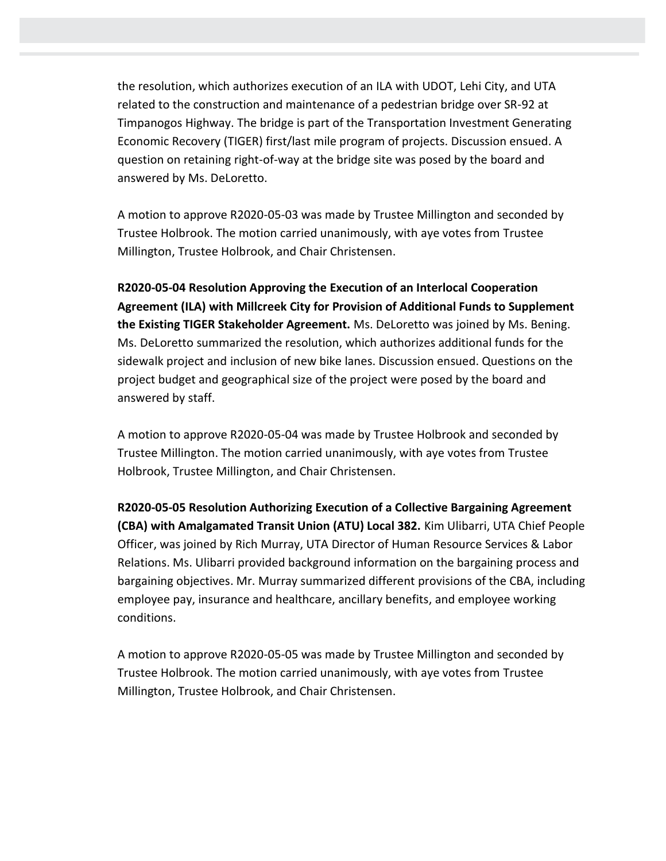the resolution, which authorizes execution of an ILA with UDOT, Lehi City, and UTA related to the construction and maintenance of a pedestrian bridge over SR-92 at Timpanogos Highway. The bridge is part of the Transportation Investment Generating Economic Recovery (TIGER) first/last mile program of projects. Discussion ensued. A question on retaining right-of-way at the bridge site was posed by the board and answered by Ms. DeLoretto.

A motion to approve R2020-05-03 was made by Trustee Millington and seconded by Trustee Holbrook. The motion carried unanimously, with aye votes from Trustee Millington, Trustee Holbrook, and Chair Christensen.

**R2020-05-04 Resolution Approving the Execution of an Interlocal Cooperation Agreement (ILA) with Millcreek City for Provision of Additional Funds to Supplement the Existing TIGER Stakeholder Agreement.** Ms. DeLoretto was joined by Ms. Bening. Ms. DeLoretto summarized the resolution, which authorizes additional funds for the sidewalk project and inclusion of new bike lanes. Discussion ensued. Questions on the project budget and geographical size of the project were posed by the board and answered by staff.

A motion to approve R2020-05-04 was made by Trustee Holbrook and seconded by Trustee Millington. The motion carried unanimously, with aye votes from Trustee Holbrook, Trustee Millington, and Chair Christensen.

**R2020-05-05 Resolution Authorizing Execution of a Collective Bargaining Agreement (CBA) with Amalgamated Transit Union (ATU) Local 382.** Kim Ulibarri, UTA Chief People Officer, was joined by Rich Murray, UTA Director of Human Resource Services & Labor Relations. Ms. Ulibarri provided background information on the bargaining process and bargaining objectives. Mr. Murray summarized different provisions of the CBA, including employee pay, insurance and healthcare, ancillary benefits, and employee working conditions.

A motion to approve R2020-05-05 was made by Trustee Millington and seconded by Trustee Holbrook. The motion carried unanimously, with aye votes from Trustee Millington, Trustee Holbrook, and Chair Christensen.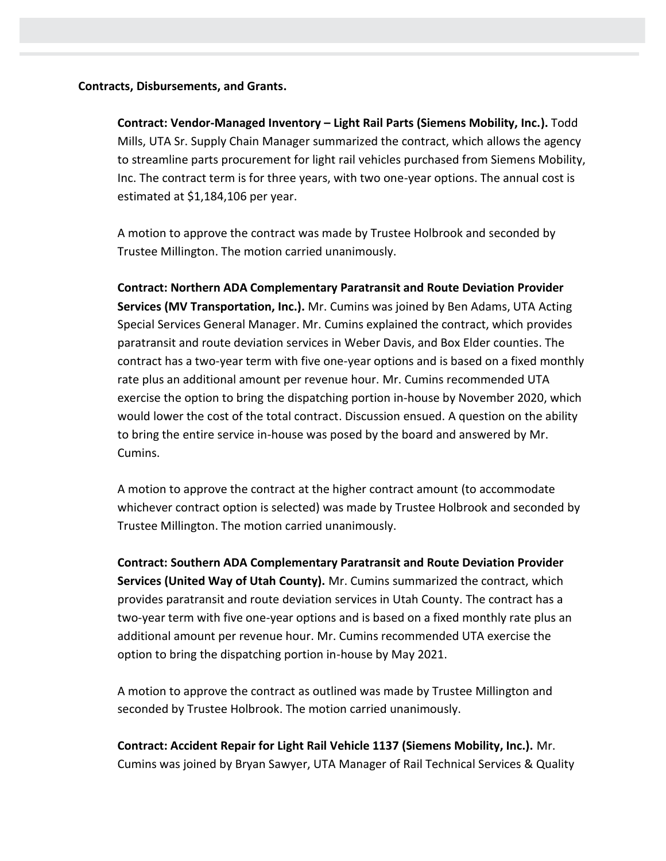#### **Contracts, Disbursements, and Grants.**

**Contract: Vendor-Managed Inventory – Light Rail Parts (Siemens Mobility, Inc.).** Todd Mills, UTA Sr. Supply Chain Manager summarized the contract, which allows the agency to streamline parts procurement for light rail vehicles purchased from Siemens Mobility, Inc. The contract term is for three years, with two one-year options. The annual cost is estimated at \$1,184,106 per year.

A motion to approve the contract was made by Trustee Holbrook and seconded by Trustee Millington. The motion carried unanimously.

**Contract: Northern ADA Complementary Paratransit and Route Deviation Provider Services (MV Transportation, Inc.).** Mr. Cumins was joined by Ben Adams, UTA Acting Special Services General Manager. Mr. Cumins explained the contract, which provides paratransit and route deviation services in Weber Davis, and Box Elder counties. The contract has a two-year term with five one-year options and is based on a fixed monthly rate plus an additional amount per revenue hour. Mr. Cumins recommended UTA exercise the option to bring the dispatching portion in-house by November 2020, which would lower the cost of the total contract. Discussion ensued. A question on the ability to bring the entire service in-house was posed by the board and answered by Mr. Cumins.

A motion to approve the contract at the higher contract amount (to accommodate whichever contract option is selected) was made by Trustee Holbrook and seconded by Trustee Millington. The motion carried unanimously.

**Contract: Southern ADA Complementary Paratransit and Route Deviation Provider Services (United Way of Utah County).** Mr. Cumins summarized the contract, which provides paratransit and route deviation services in Utah County. The contract has a two-year term with five one-year options and is based on a fixed monthly rate plus an additional amount per revenue hour. Mr. Cumins recommended UTA exercise the option to bring the dispatching portion in-house by May 2021.

A motion to approve the contract as outlined was made by Trustee Millington and seconded by Trustee Holbrook. The motion carried unanimously.

**Contract: Accident Repair for Light Rail Vehicle 1137 (Siemens Mobility, Inc.).** Mr. Cumins was joined by Bryan Sawyer, UTA Manager of Rail Technical Services & Quality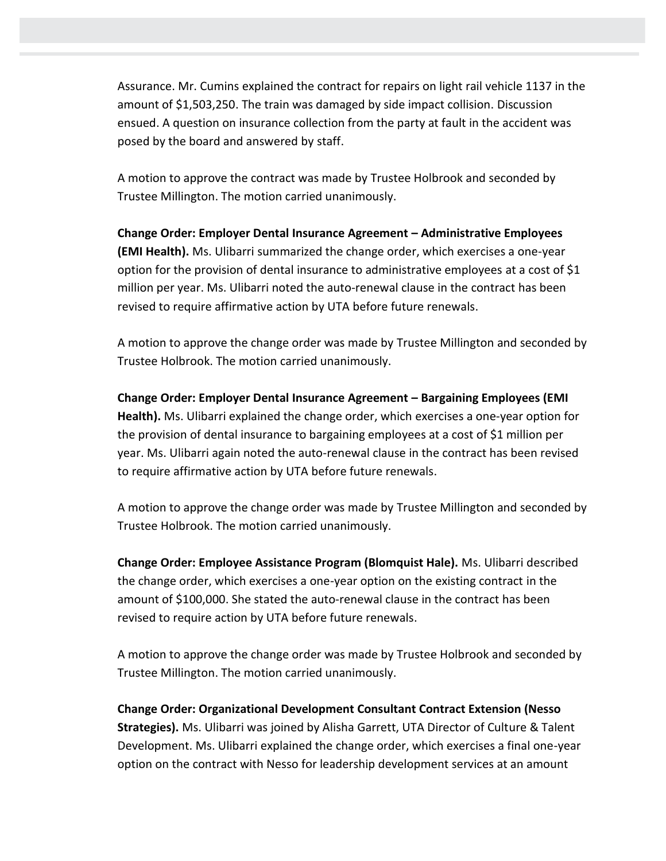Assurance. Mr. Cumins explained the contract for repairs on light rail vehicle 1137 in the amount of \$1,503,250. The train was damaged by side impact collision. Discussion ensued. A question on insurance collection from the party at fault in the accident was posed by the board and answered by staff.

A motion to approve the contract was made by Trustee Holbrook and seconded by Trustee Millington. The motion carried unanimously.

**Change Order: Employer Dental Insurance Agreement – Administrative Employees (EMI Health).** Ms. Ulibarri summarized the change order, which exercises a one-year option for the provision of dental insurance to administrative employees at a cost of \$1 million per year. Ms. Ulibarri noted the auto-renewal clause in the contract has been revised to require affirmative action by UTA before future renewals.

A motion to approve the change order was made by Trustee Millington and seconded by Trustee Holbrook. The motion carried unanimously.

**Change Order: Employer Dental Insurance Agreement – Bargaining Employees (EMI Health).** Ms. Ulibarri explained the change order, which exercises a one-year option for the provision of dental insurance to bargaining employees at a cost of \$1 million per year. Ms. Ulibarri again noted the auto-renewal clause in the contract has been revised to require affirmative action by UTA before future renewals.

A motion to approve the change order was made by Trustee Millington and seconded by Trustee Holbrook. The motion carried unanimously.

**Change Order: Employee Assistance Program (Blomquist Hale).** Ms. Ulibarri described the change order, which exercises a one-year option on the existing contract in the amount of \$100,000. She stated the auto-renewal clause in the contract has been revised to require action by UTA before future renewals.

A motion to approve the change order was made by Trustee Holbrook and seconded by Trustee Millington. The motion carried unanimously.

**Change Order: Organizational Development Consultant Contract Extension (Nesso Strategies).** Ms. Ulibarri was joined by Alisha Garrett, UTA Director of Culture & Talent Development. Ms. Ulibarri explained the change order, which exercises a final one-year option on the contract with Nesso for leadership development services at an amount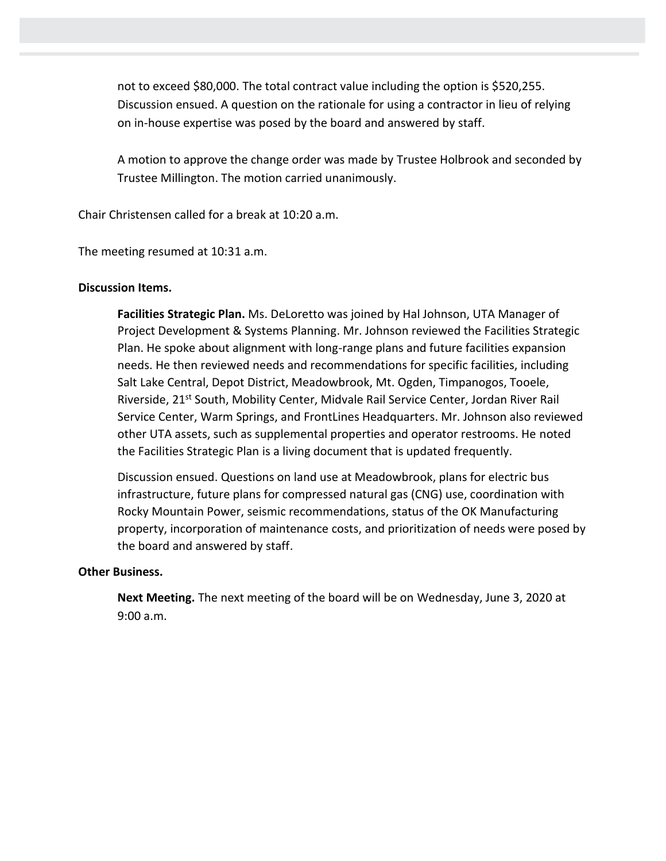not to exceed \$80,000. The total contract value including the option is \$520,255. Discussion ensued. A question on the rationale for using a contractor in lieu of relying on in-house expertise was posed by the board and answered by staff.

A motion to approve the change order was made by Trustee Holbrook and seconded by Trustee Millington. The motion carried unanimously.

Chair Christensen called for a break at 10:20 a.m.

The meeting resumed at 10:31 a.m.

# **Discussion Items.**

**Facilities Strategic Plan.** Ms. DeLoretto was joined by Hal Johnson, UTA Manager of Project Development & Systems Planning. Mr. Johnson reviewed the Facilities Strategic Plan. He spoke about alignment with long-range plans and future facilities expansion needs. He then reviewed needs and recommendations for specific facilities, including Salt Lake Central, Depot District, Meadowbrook, Mt. Ogden, Timpanogos, Tooele, Riverside, 21<sup>st</sup> South, Mobility Center, Midvale Rail Service Center, Jordan River Rail Service Center, Warm Springs, and FrontLines Headquarters. Mr. Johnson also reviewed other UTA assets, such as supplemental properties and operator restrooms. He noted the Facilities Strategic Plan is a living document that is updated frequently.

Discussion ensued. Questions on land use at Meadowbrook, plans for electric bus infrastructure, future plans for compressed natural gas (CNG) use, coordination with Rocky Mountain Power, seismic recommendations, status of the OK Manufacturing property, incorporation of maintenance costs, and prioritization of needs were posed by the board and answered by staff.

## **Other Business.**

**Next Meeting.** The next meeting of the board will be on Wednesday, June 3, 2020 at 9:00 a.m.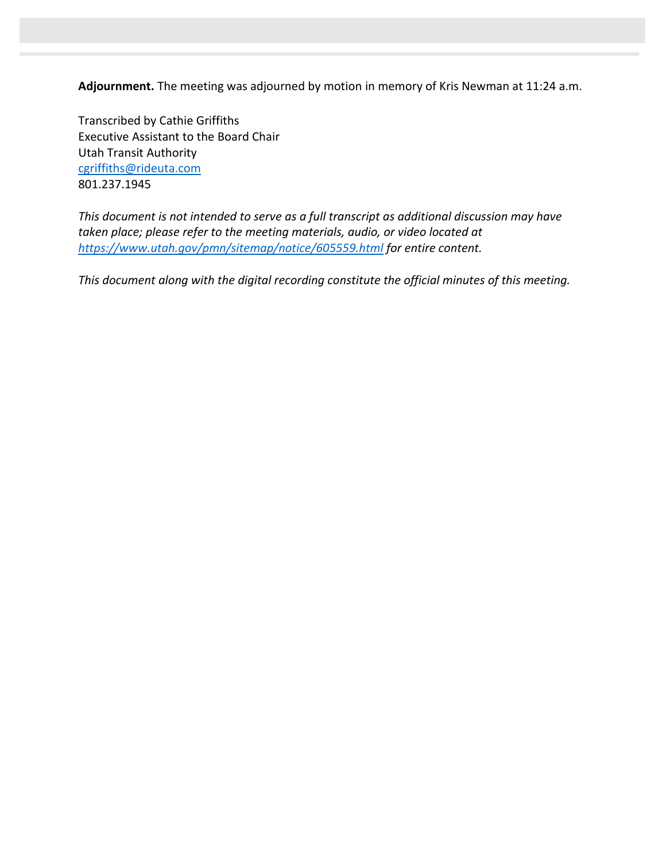**Adjournment.** The meeting was adjourned by motion in memory of Kris Newman at 11:24 a.m.

Transcribed by Cathie Griffiths Executive Assistant to the Board Chair Utah Transit Authority [cgriffiths@rideuta.com](mailto:cgriffiths@rideuta.com) 801.237.1945

*This document is not intended to serve as a full transcript as additional discussion may have taken place; please refer to the meeting materials, audio, or video located at <https://www.utah.gov/pmn/sitemap/notice/605559.html> for entire content.*

*This document along with the digital recording constitute the official minutes of this meeting.*